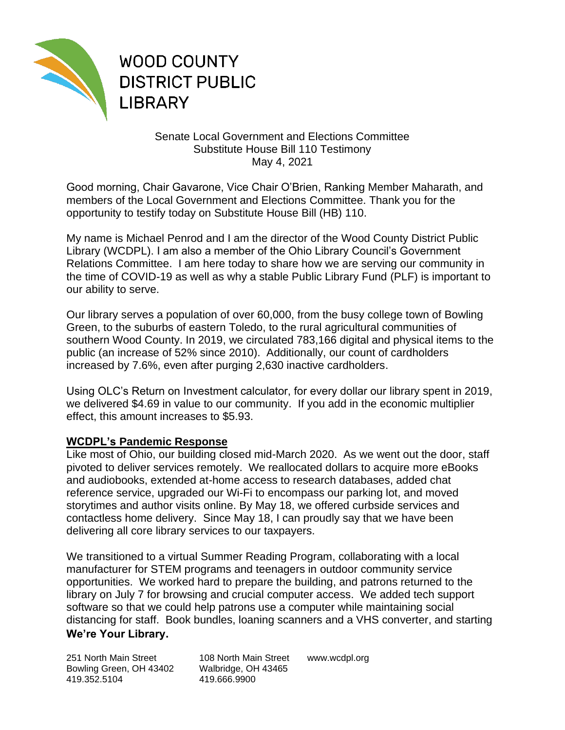

**WOOD COUNTY DISTRICT PUBLIC LIBRARY** 

## Senate Local Government and Elections Committee Substitute House Bill 110 Testimony May 4, 2021

Good morning, Chair Gavarone, Vice Chair O'Brien, Ranking Member Maharath, and members of the Local Government and Elections Committee. Thank you for the opportunity to testify today on Substitute House Bill (HB) 110.

My name is Michael Penrod and I am the director of the Wood County District Public Library (WCDPL). I am also a member of the Ohio Library Council's Government Relations Committee. I am here today to share how we are serving our community in the time of COVID-19 as well as why a stable Public Library Fund (PLF) is important to our ability to serve.

Our library serves a population of over 60,000, from the busy college town of Bowling Green, to the suburbs of eastern Toledo, to the rural agricultural communities of southern Wood County. In 2019, we circulated 783,166 digital and physical items to the public (an increase of 52% since 2010). Additionally, our count of cardholders increased by 7.6%, even after purging 2,630 inactive cardholders.

Using OLC's Return on Investment calculator, for every dollar our library spent in 2019, we delivered \$4.69 in value to our community. If you add in the economic multiplier effect, this amount increases to \$5.93.

## **WCDPL's Pandemic Response**

Like most of Ohio, our building closed mid-March 2020. As we went out the door, staff pivoted to deliver services remotely. We reallocated dollars to acquire more eBooks and audiobooks, extended at-home access to research databases, added chat reference service, upgraded our Wi-Fi to encompass our parking lot, and moved storytimes and author visits online. By May 18, we offered curbside services and contactless home delivery. Since May 18, I can proudly say that we have been delivering all core library services to our taxpayers.

**We're Your Library.** We transitioned to a virtual Summer Reading Program, collaborating with a local manufacturer for STEM programs and teenagers in outdoor community service opportunities. We worked hard to prepare the building, and patrons returned to the library on July 7 for browsing and crucial computer access. We added tech support software so that we could help patrons use a computer while maintaining social distancing for staff. Book bundles, loaning scanners and a VHS converter, and starting

251 North Main Street 108 North Main Street www.wcdpl.org Bowling Green, OH 43402 Walbridge, OH 43465 419.352.5104 419.666.9900